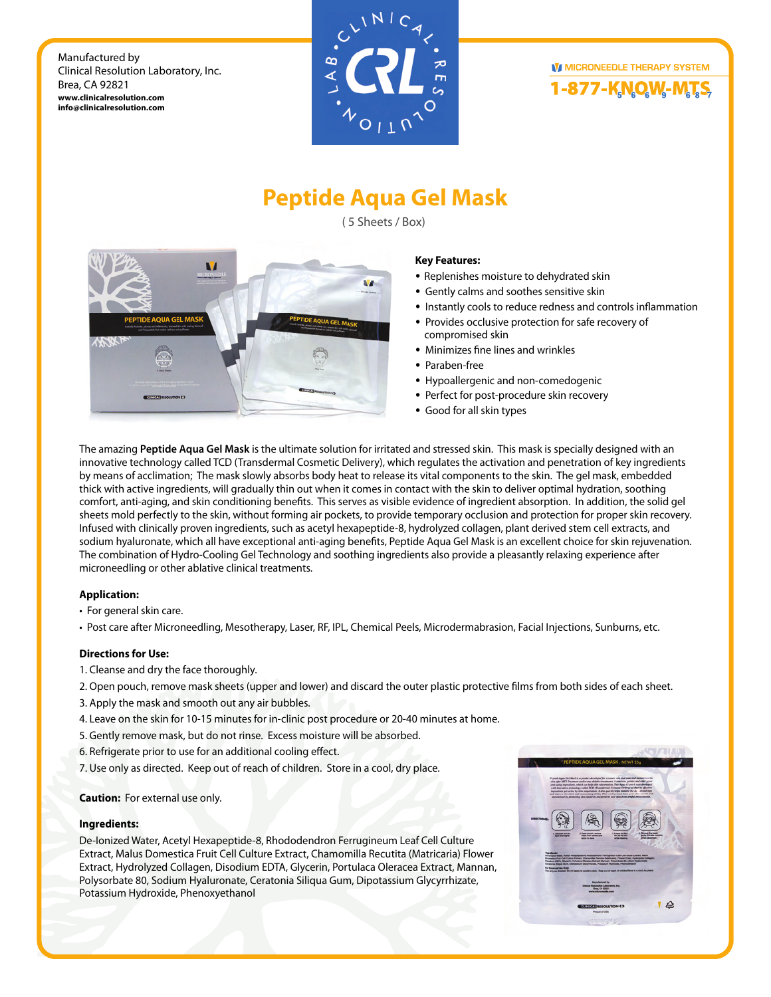



# **Peptide Aqua Gel Mask**

( 5 Sheets / Box)



### **Key Features:**

- Replenishes moisture to dehydrated skin
- Gently calms and soothes sensitive skin
- Instantly cools to reduce redness and controls inflammation
- Provides occlusive protection for safe recovery of compromised skin
- Minimizes fine lines and wrinkles
- Paraben-free
- Hypoallergenic and non-comedogenic
- Perfect for post-procedure skin recovery
- Good for all skin types

The amazing **Peptide Aqua Gel Mask** is the ultimate solution for irritated and stressed skin. This mask is specially designed with an innovative technology called TCD (Transdermal Cosmetic Delivery), which regulates the activation and penetration of key ingredients by means of acclimation; The mask slowly absorbs body heat to release its vital components to the skin. The gel mask, embedded thick with active ingredients, will gradually thin out when it comes in contact with the skin to deliver optimal hydration, soothing comfort, anti-aging, and skin conditioning benefits. This serves as visible evidence of ingredient absorption. In addition, the solid gel sheets mold perfectly to the skin, without forming air pockets, to provide temporary occlusion and protection for proper skin recovery. Infused with clinically proven ingredients, such as acetyl hexapeptide-8, hydrolyzed collagen, plant derived stem cell extracts, and sodium hyaluronate, which all have exceptional anti-aging benefits, Peptide Aqua Gel Mask is an excellent choice for skin rejuvenation. The combination of Hydro-Cooling Gel Technology and soothing ingredients also provide a pleasantly relaxing experience after microneedling or other ablative clinical treatments.

### **Application:**

• For general skin care.

• Post care after Microneedling, Mesotherapy, Laser, RF, IPL, Chemical Peels, Microdermabrasion, Facial Injections, Sunburns, etc.

### **Directions for Use:**

- 1. Cleanse and dry the face thoroughly.
- 2. Open pouch, remove mask sheets (upper and lower) and discard the outer plastic protective films from both sides of each sheet.
- 3. Apply the mask and smooth out any air bubbles.
- 4. Leave on the skin for 10-15 minutes for in-clinic post procedure or 20-40 minutes at home.
- 5. Gently remove mask, but do not rinse. Excess moisture will be absorbed.
- 6. Refrigerate prior to use for an additional cooling effect.
- 7. Use only as directed. Keep out of reach of children. Store in a cool, dry place.

### **Caution:** For external use only.

### **Ingredients:**

De-Ionized Water, Acetyl Hexapeptide-8, Rhododendron Ferrugineum Leaf Cell Culture Extract, Malus Domestica Fruit Cell Culture Extract, Chamomilla Recutita (Matricaria) Flower Extract, Hydrolyzed Collagen, Disodium EDTA, Glycerin, Portulaca Oleracea Extract, Mannan, Polysorbate 80, Sodium Hyaluronate, Ceratonia Siliqua Gum, Dipotassium Glycyrrhizate, Potassium Hydroxide, Phenoxyethanol

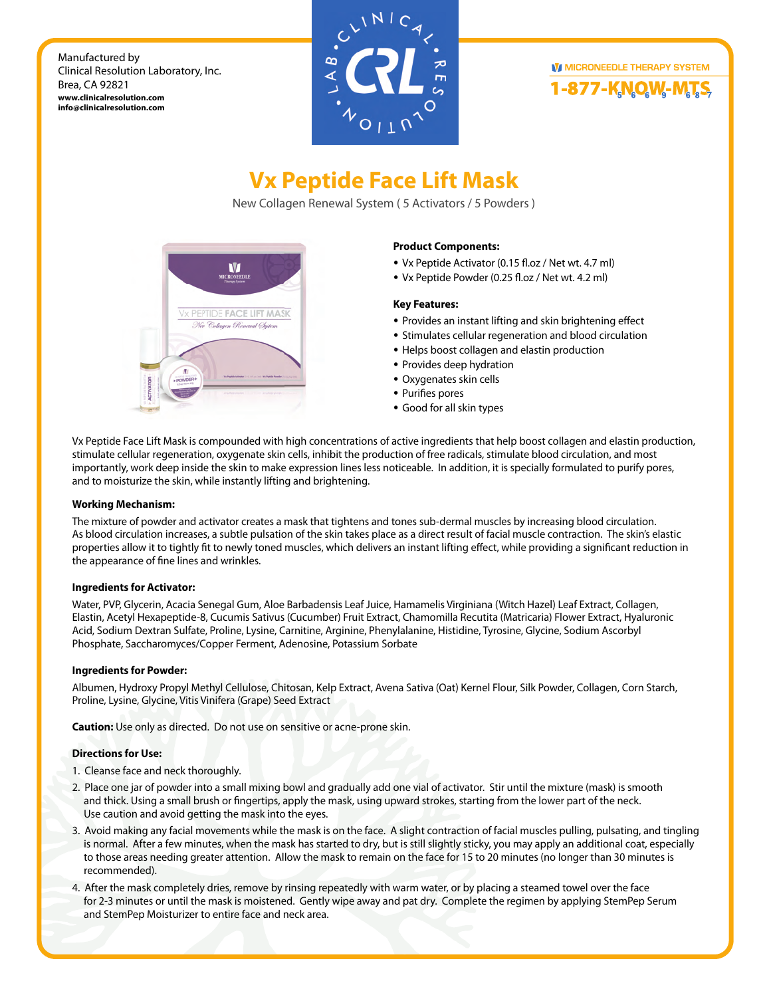



# **Vx Peptide Face Lift Mask**

New Collagen Renewal System ( 5 Activators / 5 Powders )



### **Product Components:**

- Vx Peptide Activator (0.15 fl.oz / Net wt. 4.7 ml)
- Vx Peptide Powder (0.25 fl.oz / Net wt. 4.2 ml)

### **Key Features:**

- Provides an instant lifting and skin brightening effect
- Stimulates cellular regeneration and blood circulation
- Helps boost collagen and elastin production
- Provides deep hydration
- Oxygenates skin cells
- Purifies pores
- Good for all skin types

Vx Peptide Face Lift Mask is compounded with high concentrations of active ingredients that help boost collagen and elastin production, stimulate cellular regeneration, oxygenate skin cells, inhibit the production of free radicals, stimulate blood circulation, and most importantly, work deep inside the skin to make expression lines less noticeable. In addition, it is specially formulated to purify pores, and to moisturize the skin, while instantly lifting and brightening.

### **Working Mechanism:**

The mixture of powder and activator creates a mask that tightens and tones sub-dermal muscles by increasing blood circulation. As blood circulation increases, a subtle pulsation of the skin takes place as a direct result of facial muscle contraction. The skin's elastic properties allow it to tightly fit to newly toned muscles, which delivers an instant lifting effect, while providing a significant reduction in the appearance of fine lines and wrinkles.

### **Ingredients for Activator:**

Water, PVP, Glycerin, Acacia Senegal Gum, Aloe Barbadensis Leaf Juice, Hamamelis Virginiana (Witch Hazel) Leaf Extract, Collagen, Elastin, Acetyl Hexapeptide-8, Cucumis Sativus (Cucumber) Fruit Extract, Chamomilla Recutita (Matricaria) Flower Extract, Hyaluronic Acid, Sodium Dextran Sulfate, Proline, Lysine, Carnitine, Arginine, Phenylalanine, Histidine, Tyrosine, Glycine, Sodium Ascorbyl Phosphate, Saccharomyces/Copper Ferment, Adenosine, Potassium Sorbate

### **Ingredients for Powder:**

Albumen, Hydroxy Propyl Methyl Cellulose, Chitosan, Kelp Extract, Avena Sativa (Oat) Kernel Flour, Silk Powder, Collagen, Corn Starch, Proline, Lysine, Glycine, Vitis Vinifera (Grape) Seed Extract

**Caution:** Use only as directed. Do not use on sensitive or acne-prone skin.

### **Directions for Use:**

- 1. Cleanse face and neck thoroughly.
- 2. Place one jar of powder into a small mixing bowl and gradually add one vial of activator. Stir until the mixture (mask) is smooth and thick. Using a small brush or fingertips, apply the mask, using upward strokes, starting from the lower part of the neck. Use caution and avoid getting the mask into the eyes.
- 3. Avoid making any facial movements while the mask is on the face. A slight contraction of facial muscles pulling, pulsating, and tingling is normal. After a few minutes, when the mask has started to dry, but is still slightly sticky, you may apply an additional coat, especially to those areas needing greater attention. Allow the mask to remain on the face for 15 to 20 minutes (no longer than 30 minutes is recommended).
- 4. After the mask completely dries, remove by rinsing repeatedly with warm water, or by placing a steamed towel over the face for 2-3 minutes or until the mask is moistened. Gently wipe away and pat dry. Complete the regimen by applying StemPep Serum and StemPep Moisturizer to entire face and neck area.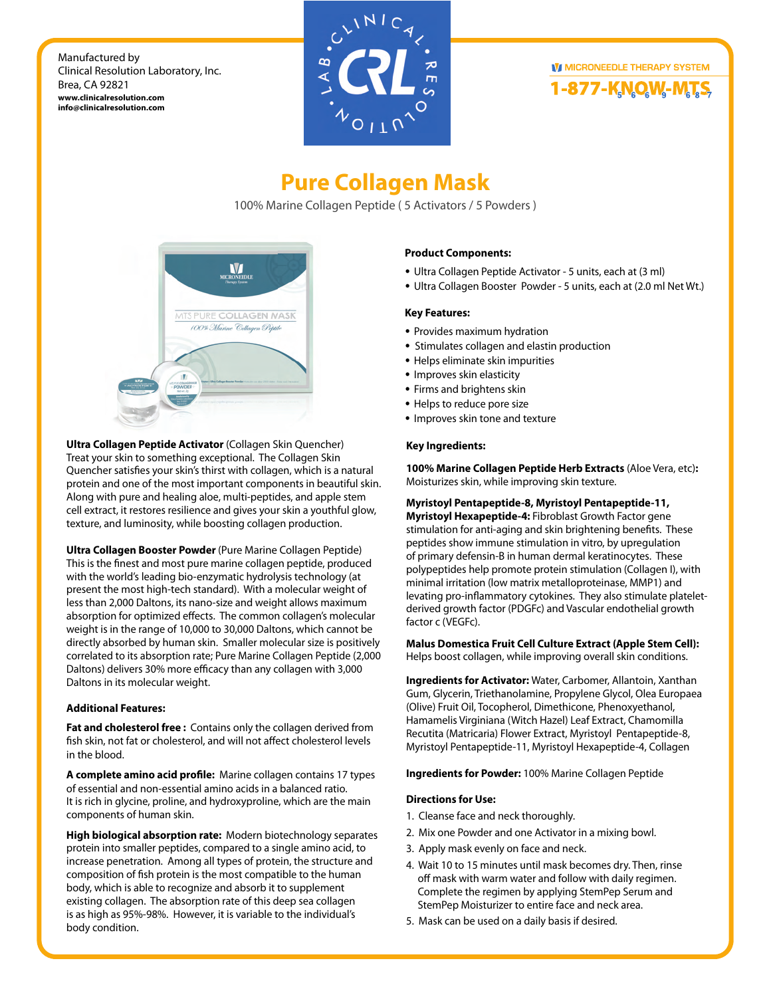



# **Pure Collagen Mask**

100% Marine Collagen Peptide ( 5 Activators / 5 Powders )



**Ultra Collagen Peptide Activator** (Collagen Skin Quencher) Treat your skin to something exceptional. The Collagen Skin Quencher satisfies your skin's thirst with collagen, which is a natural protein and one of the most important components in beautiful skin. Along with pure and healing aloe, multi-peptides, and apple stem cell extract, it restores resilience and gives your skin a youthful glow, texture, and luminosity, while boosting collagen production.

**Ultra Collagen Booster Powder** (Pure Marine Collagen Peptide) This is the finest and most pure marine collagen peptide, produced with the world's leading bio-enzymatic hydrolysis technology (at present the most high-tech standard). With a molecular weight of less than 2,000 Daltons, its nano-size and weight allows maximum absorption for optimized effects. The common collagen's molecular weight is in the range of 10,000 to 30,000 Daltons, which cannot be directly absorbed by human skin. Smaller molecular size is positively correlated to its absorption rate; Pure Marine Collagen Peptide (2,000 Daltons) delivers 30% more efficacy than any collagen with 3,000 Daltons in its molecular weight.

### **Additional Features:**

**Fat and cholesterol free :** Contains only the collagen derived from fish skin, not fat or cholesterol, and will not affect cholesterol levels in the blood.

A complete amino acid profile: Marine collagen contains 17 types of essential and non-essential amino acids in a balanced ratio. It is rich in glycine, proline, and hydroxyproline, which are the main components of human skin.

**High biological absorption rate:** Modern biotechnology separates protein into smaller peptides, compared to a single amino acid, to increase penetration. Among all types of protein, the structure and composition of fish protein is the most compatible to the human body, which is able to recognize and absorb it to supplement existing collagen. The absorption rate of this deep sea collagen is as high as 95%-98%. However, it is variable to the individual's body condition.

### **Product Components:**

- Ultra Collagen Peptide Activator 5 units, each at (3 ml)
- Ultra Collagen Booster Powder 5 units, each at (2.0 ml Net Wt.)

### **Key Features:**

- Provides maximum hydration
- Stimulates collagen and elastin production
- Helps eliminate skin impurities
- Improves skin elasticity
- Firms and brightens skin
- Helps to reduce pore size
- Improves skin tone and texture

### **Key Ingredients:**

**100% Marine Collagen Peptide Herb Extracts** (Aloe Vera, etc)**:**  Moisturizes skin, while improving skin texture.

**Myristoyl Pentapeptide-8, Myristoyl Pentapeptide-11, Myristoyl Hexapeptide-4:** Fibroblast Growth Factor gene

stimulation for anti-aging and skin brightening benefits. These peptides show immune stimulation in vitro, by upregulation of primary defensin-B in human dermal keratinocytes. These polypeptides help promote protein stimulation (Collagen I), with minimal irritation (low matrix metalloproteinase, MMP1) and levating pro-inflammatory cytokines. They also stimulate plateletderived growth factor (PDGFc) and Vascular endothelial growth factor c (VEGFc).

**Malus Domestica Fruit Cell Culture Extract (Apple Stem Cell):** Helps boost collagen, while improving overall skin conditions.

**Ingredients for Activator:** Water, Carbomer, Allantoin, Xanthan Gum, Glycerin, Triethanolamine, Propylene Glycol, Olea Europaea (Olive) Fruit Oil, Tocopherol, Dimethicone, Phenoxyethanol, Hamamelis Virginiana (Witch Hazel) Leaf Extract, Chamomilla Recutita (Matricaria) Flower Extract, Myristoyl Pentapeptide-8, Myristoyl Pentapeptide-11, Myristoyl Hexapeptide-4, Collagen

**Ingredients for Powder:** 100% Marine Collagen Peptide

### **Directions for Use:**

- 1. Cleanse face and neck thoroughly.
- 2. Mix one Powder and one Activator in a mixing bowl.
- 3. Apply mask evenly on face and neck.
- 4. Wait 10 to 15 minutes until mask becomes dry. Then, rinse off mask with warm water and follow with daily regimen. Complete the regimen by applying StemPep Serum and StemPep Moisturizer to entire face and neck area.
- 5. Mask can be used on a daily basis if desired.